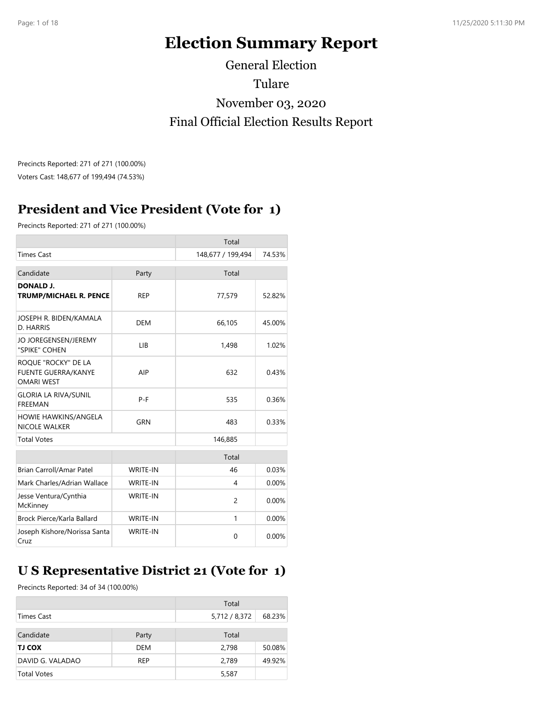# **Election Summary Report**

General Election Tulare November 03, 2020 Final Official Election Results Report

Precincts Reported: 271 of 271 (100.00%) Voters Cast: 148,677 of 199,494 (74.53%)

# **President and Vice President (Vote for 1)**

Precincts Reported: 271 of 271 (100.00%)

|                                                                        |                 | Total             |        |
|------------------------------------------------------------------------|-----------------|-------------------|--------|
| <b>Times Cast</b>                                                      |                 | 148,677 / 199,494 | 74.53% |
| Candidate                                                              | Party           | Total             |        |
| <b>DONALD J.</b><br><b>TRUMP/MICHAEL R. PENCE</b>                      | <b>REP</b>      | 77,579            | 52.82% |
| JOSEPH R. BIDEN/KAMALA<br>D. HARRIS                                    | <b>DEM</b>      | 66,105            | 45.00% |
| JO JOREGENSEN/JEREMY<br>"SPIKE" COHEN                                  | LIB             | 1,498             | 1.02%  |
| ROQUE "ROCKY" DE LA<br><b>FUENTE GUERRA/KANYE</b><br><b>OMARI WEST</b> | AIP             | 632               | 0.43%  |
| <b>GLORIA LA RIVA/SUNIL</b><br><b>FREEMAN</b>                          | $P-F$           | 535               | 0.36%  |
| HOWIE HAWKINS/ANGELA<br><b>NICOLE WALKER</b>                           | GRN             | 483               | 0.33%  |
| <b>Total Votes</b>                                                     |                 | 146,885           |        |
|                                                                        |                 | Total             |        |
| Brian Carroll/Amar Patel                                               | <b>WRITE-IN</b> | 46                | 0.03%  |
| Mark Charles/Adrian Wallace                                            | <b>WRITE-IN</b> | 4                 | 0.00%  |
| Jesse Ventura/Cynthia<br>McKinney                                      | <b>WRITE-IN</b> | $\overline{c}$    | 0.00%  |
| Brock Pierce/Karla Ballard                                             | <b>WRITE-IN</b> | 1                 | 0.00%  |
| Joseph Kishore/Norissa Santa<br>Cruz                                   | <b>WRITE-IN</b> | $\Omega$          | 0.00%  |

## **U S Representative District 21 (Vote for 1)**

Precincts Reported: 34 of 34 (100.00%)

|                    |            | Total         |        |
|--------------------|------------|---------------|--------|
| Times Cast         |            | 5,712 / 8,372 | 68.23% |
| Candidate          | Party      | Total         |        |
| TJ COX             | DEM        | 2,798         | 50.08% |
| DAVID G. VALADAO   | <b>REP</b> | 2,789         | 49.92% |
| <b>Total Votes</b> |            | 5,587         |        |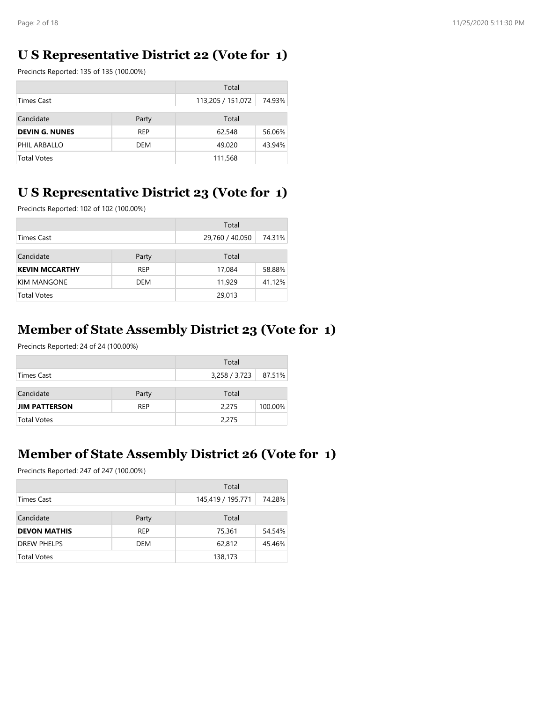### **U S Representative District 22 (Vote for 1)**

Precincts Reported: 135 of 135 (100.00%)

|                       |            | Total             |        |
|-----------------------|------------|-------------------|--------|
| <b>Times Cast</b>     |            | 113,205 / 151,072 | 74.93% |
| Candidate<br>Party    |            | Total             |        |
| <b>DEVIN G. NUNES</b> | <b>REP</b> | 62,548            | 56.06% |
| PHIL ARBALLO          | DEM        | 49,020            | 43.94% |
| <b>Total Votes</b>    |            | 111,568           |        |

### **U S Representative District 23 (Vote for 1)**

Precincts Reported: 102 of 102 (100.00%)

|                           |            | Total           |        |
|---------------------------|------------|-----------------|--------|
| Times Cast                |            | 29,760 / 40,050 | 74.31% |
| Candidate<br>Party        |            | Total           |        |
| <b>KEVIN MCCARTHY</b>     | <b>REP</b> | 17,084          | 58.88% |
| <b>KIM MANGONE</b><br>DEM |            | 11,929          | 41.12% |
| <b>Total Votes</b>        |            | 29,013          |        |

### **Member of State Assembly District 23 (Vote for 1)**

Precincts Reported: 24 of 24 (100.00%)

|                      |            | Total         |         |
|----------------------|------------|---------------|---------|
| Times Cast           |            | 3,258 / 3,723 | 87.51%  |
| Candidate            | Party      | Total         |         |
| <b>JIM PATTERSON</b> | <b>REP</b> | 2,275         | 100.00% |
| <b>Total Votes</b>   |            | 2,275         |         |

#### **Member of State Assembly District 26 (Vote for 1)**

Precincts Reported: 247 of 247 (100.00%)

|                     |                | Total             |        |
|---------------------|----------------|-------------------|--------|
| Times Cast          |                | 145,419 / 195,771 | 74.28% |
| Candidate           | Total<br>Party |                   |        |
| <b>DEVON MATHIS</b> | <b>REP</b>     | 75,361            | 54.54% |
| <b>DREW PHELPS</b>  | DEM            | 62,812            | 45.46% |
| <b>Total Votes</b>  |                | 138,173           |        |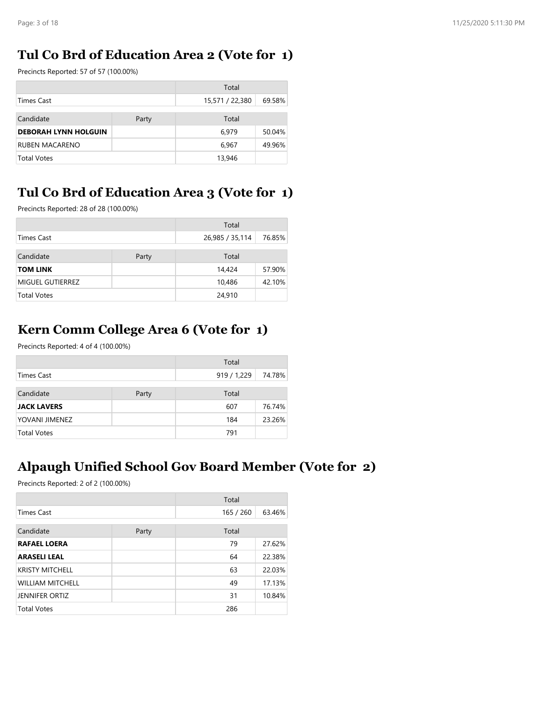### **Tul Co Brd of Education Area 2 (Vote for 1)**

Precincts Reported: 57 of 57 (100.00%)

|                             |  | Total           |        |
|-----------------------------|--|-----------------|--------|
| <b>Times Cast</b>           |  | 15,571 / 22,380 | 69.58% |
| Candidate<br>Party          |  | Total           |        |
| <b>DEBORAH LYNN HOLGUIN</b> |  | 6.979           | 50.04% |
| <b>RUBEN MACARENO</b>       |  | 6.967           | 49.96% |
| Total Votes                 |  | 13,946          |        |

## **Tul Co Brd of Education Area 3 (Vote for 1)**

Precincts Reported: 28 of 28 (100.00%)

|                    |       | Total           |        |
|--------------------|-------|-----------------|--------|
| <b>Times Cast</b>  |       | 26,985 / 35,114 | 76.85% |
| Candidate          | Party | Total           |        |
| <b>TOM LINK</b>    |       | 14,424          | 57.90% |
| MIGUEL GUTIERREZ   |       | 10,486          | 42.10% |
| <b>Total Votes</b> |       | 24,910          |        |

### **Kern Comm College Area 6 (Vote for 1)**

Precincts Reported: 4 of 4 (100.00%)

|                    |  | Total       |        |
|--------------------|--|-------------|--------|
| Times Cast         |  | 919 / 1,229 | 74.78% |
| Candidate<br>Party |  | Total       |        |
| <b>JACK LAVERS</b> |  | 607         | 76.74% |
| YOVANI JIMENEZ     |  | 184         | 23.26% |
| <b>Total Votes</b> |  | 791         |        |

### **Alpaugh Unified School Gov Board Member (Vote for 2)**

Precincts Reported: 2 of 2 (100.00%)

|                         |       | Total     |        |
|-------------------------|-------|-----------|--------|
| <b>Times Cast</b>       |       | 165 / 260 | 63.46% |
| Candidate               | Party | Total     |        |
| <b>RAFAEL LOERA</b>     |       | 79        | 27.62% |
| <b>ARASELI LEAL</b>     |       | 64        | 22.38% |
| <b>KRISTY MITCHELL</b>  |       | 63        | 22.03% |
| <b>WILLIAM MITCHELL</b> |       | 49        | 17.13% |
| <b>JENNIFER ORTIZ</b>   |       | 31        | 10.84% |
| <b>Total Votes</b>      |       | 286       |        |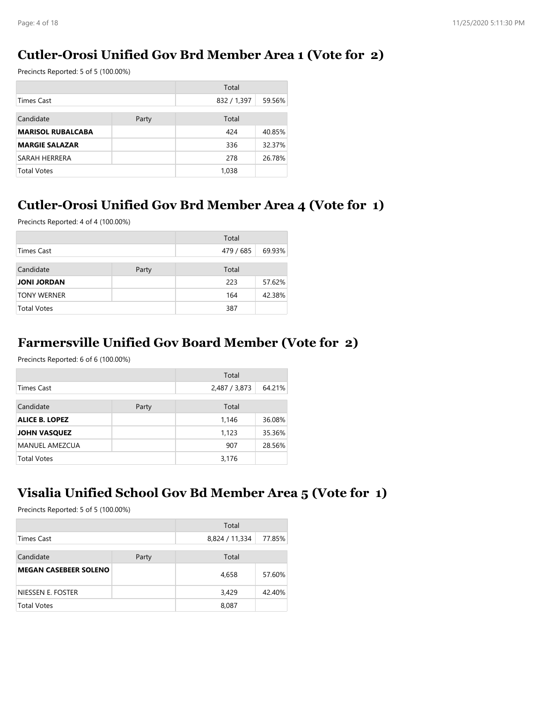### **Cutler-Orosi Unified Gov Brd Member Area 1 (Vote for 2)**

Precincts Reported: 5 of 5 (100.00%)

|                          |  | Total       |        |
|--------------------------|--|-------------|--------|
| <b>Times Cast</b>        |  | 832 / 1,397 | 59.56% |
| Candidate<br>Party       |  | Total       |        |
| <b>MARISOL RUBALCABA</b> |  | 424         | 40.85% |
| <b>MARGIE SALAZAR</b>    |  | 336         | 32.37% |
| SARAH HERRERA            |  | 278         | 26.78% |
| <b>Total Votes</b>       |  | 1,038       |        |

#### **Cutler-Orosi Unified Gov Brd Member Area 4 (Vote for 1)**

Precincts Reported: 4 of 4 (100.00%)

|                    |       | Total     |        |
|--------------------|-------|-----------|--------|
| Times Cast         |       | 479 / 685 | 69.93% |
| Candidate          | Party | Total     |        |
| <b>JONI JORDAN</b> |       | 223       | 57.62% |
| <b>TONY WERNER</b> |       | 164       | 42.38% |
| <b>Total Votes</b> |       | 387       |        |

#### **Farmersville Unified Gov Board Member (Vote for 2)**

Precincts Reported: 6 of 6 (100.00%)

|                       |       | Total         |        |
|-----------------------|-------|---------------|--------|
| Times Cast            |       | 2,487 / 3,873 | 64.21% |
| Candidate             | Party | Total         |        |
| <b>ALICE B. LOPEZ</b> |       | 1,146         | 36.08% |
| <b>JOHN VASQUEZ</b>   |       | 1,123         | 35.36% |
| <b>MANUEL AMEZCUA</b> |       | 907           | 28.56% |
| <b>Total Votes</b>    |       | 3,176         |        |

#### **Visalia Unified School Gov Bd Member Area 5 (Vote for 1)**

Precincts Reported: 5 of 5 (100.00%)

|                              |  | Total          |        |
|------------------------------|--|----------------|--------|
| Times Cast                   |  | 8,824 / 11,334 | 77.85% |
| Candidate<br>Party           |  | Total          |        |
| <b>MEGAN CASEBEER SOLENO</b> |  | 4,658          | 57.60% |
| NIESSEN E. FOSTER            |  | 3,429          | 42.40% |
| <b>Total Votes</b>           |  | 8,087          |        |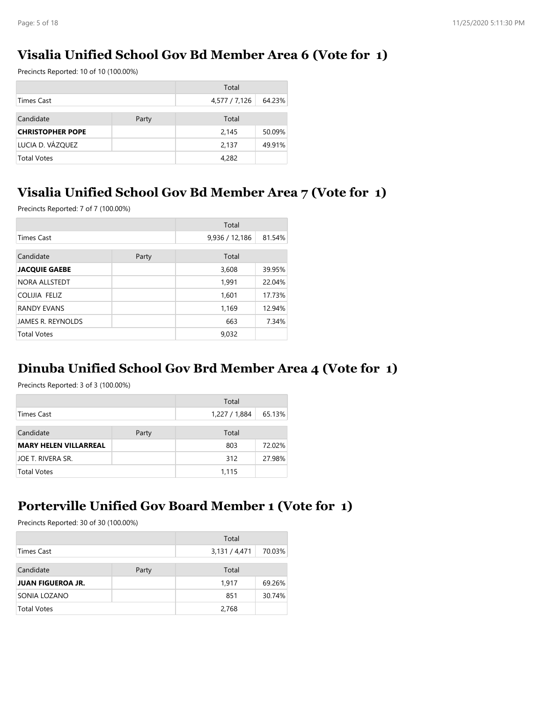### **Visalia Unified School Gov Bd Member Area 6 (Vote for 1)**

Precincts Reported: 10 of 10 (100.00%)

|                         |       | Total         |        |
|-------------------------|-------|---------------|--------|
| <b>Times Cast</b>       |       | 4,577 / 7,126 | 64.23% |
| Candidate               | Party | Total         |        |
| <b>CHRISTOPHER POPE</b> |       | 2,145         | 50.09% |
| LUCIA D. VÁZQUEZ        |       | 2,137         | 49.91% |
| <b>Total Votes</b>      |       | 4,282         |        |

### **Visalia Unified School Gov Bd Member Area 7 (Vote for 1)**

Precincts Reported: 7 of 7 (100.00%)

|                      |       | Total          |        |
|----------------------|-------|----------------|--------|
| <b>Times Cast</b>    |       | 9,936 / 12,186 | 81.54% |
| Candidate            | Party | Total          |        |
| <b>JACQUIE GAEBE</b> |       | 3,608          | 39.95% |
| NORA ALLSTEDT        |       | 1,991          | 22.04% |
| COLIJIA FELIZ        |       | 1,601          | 17.73% |
| <b>RANDY EVANS</b>   |       | 1,169          | 12.94% |
| JAMES R. REYNOLDS    |       | 663            | 7.34%  |
| <b>Total Votes</b>   |       | 9,032          |        |

### **Dinuba Unified School Gov Brd Member Area 4 (Vote for 1)**

Precincts Reported: 3 of 3 (100.00%)

|                              |       | Total         |        |
|------------------------------|-------|---------------|--------|
| Times Cast                   |       | 1,227 / 1,884 | 65.13% |
| Candidate                    | Party | Total         |        |
| <b>MARY HELEN VILLARREAL</b> |       | 803           | 72.02% |
| <b>JOE T. RIVERA SR.</b>     |       | 312           | 27.98% |
| <b>Total Votes</b>           |       | 1,115         |        |

#### **Porterville Unified Gov Board Member 1 (Vote for 1)**

Precincts Reported: 30 of 30 (100.00%)

|                          |       | Total         |        |
|--------------------------|-------|---------------|--------|
| <b>Times Cast</b>        |       | 3,131 / 4,471 | 70.03% |
| Candidate                | Party | Total         |        |
| <b>JUAN FIGUEROA JR.</b> |       | 1.917         | 69.26% |
| SONIA LOZANO             |       | 851           | 30.74% |
| <b>Total Votes</b>       |       | 2,768         |        |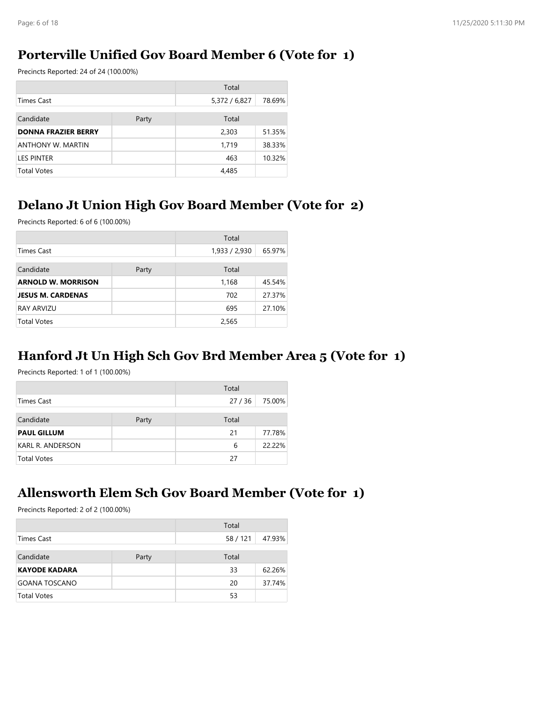### **Porterville Unified Gov Board Member 6 (Vote for 1)**

Precincts Reported: 24 of 24 (100.00%)

|                            |       | Total         |        |
|----------------------------|-------|---------------|--------|
| Times Cast                 |       | 5,372 / 6,827 | 78.69% |
| Candidate                  | Party | Total         |        |
| <b>DONNA FRAZIER BERRY</b> |       | 2,303         | 51.35% |
| ANTHONY W. MARTIN          |       | 1,719         | 38.33% |
| <b>LES PINTER</b>          |       | 463           | 10.32% |
| <b>Total Votes</b>         |       | 4,485         |        |

### **Delano Jt Union High Gov Board Member (Vote for 2)**

Precincts Reported: 6 of 6 (100.00%)

|                           |       | Total         |        |
|---------------------------|-------|---------------|--------|
| <b>Times Cast</b>         |       | 1,933 / 2,930 | 65.97% |
| Candidate                 | Party | Total         |        |
| <b>ARNOLD W. MORRISON</b> |       | 1,168         | 45.54% |
| <b>JESUS M. CARDENAS</b>  |       | 702           | 27.37% |
| <b>RAY ARVIZU</b>         |       | 695           | 27.10% |
| <b>Total Votes</b>        |       | 2,565         |        |

### **Hanford Jt Un High Sch Gov Brd Member Area 5 (Vote for 1)**

Precincts Reported: 1 of 1 (100.00%)

|                    |       | Total |        |
|--------------------|-------|-------|--------|
| Times Cast         |       | 27/36 | 75.00% |
| Candidate          | Party | Total |        |
| <b>PAUL GILLUM</b> |       | 21    | 77.78% |
| KARL R. ANDERSON   |       | 6     | 22.22% |
| <b>Total Votes</b> |       | 27    |        |

#### **Allensworth Elem Sch Gov Board Member (Vote for 1)**

Precincts Reported: 2 of 2 (100.00%)

|                      |       | Total    |        |
|----------------------|-------|----------|--------|
| Times Cast           |       | 58 / 121 | 47.93% |
| Candidate            | Party | Total    |        |
| <b>KAYODE KADARA</b> |       | 33       | 62.26% |
| <b>GOANA TOSCANO</b> |       | 20       | 37.74% |
| <b>Total Votes</b>   |       | 53       |        |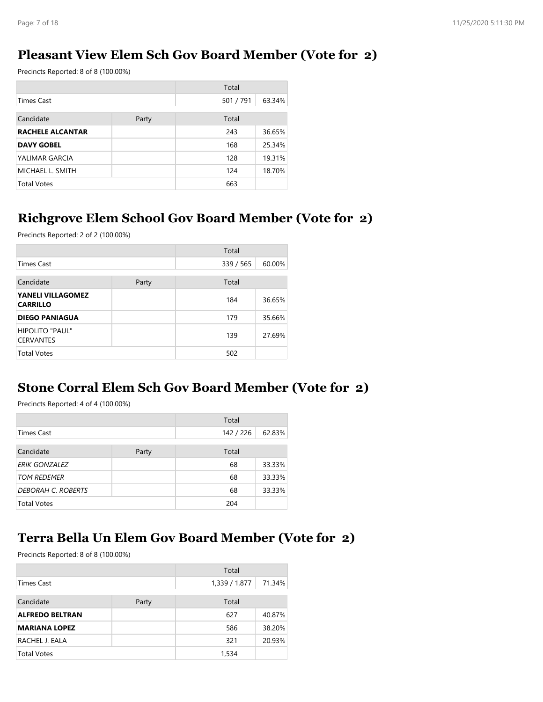### **Pleasant View Elem Sch Gov Board Member (Vote for 2)**

Precincts Reported: 8 of 8 (100.00%)

|                         |       | Total     |        |
|-------------------------|-------|-----------|--------|
| <b>Times Cast</b>       |       | 501 / 791 | 63.34% |
| Candidate               | Party | Total     |        |
| <b>RACHELE ALCANTAR</b> |       | 243       | 36.65% |
| <b>DAVY GOBEL</b>       |       | 168       | 25.34% |
| YALIMAR GARCIA          |       | 128       | 19.31% |
| MICHAEL L. SMITH        |       | 124       | 18.70% |
| <b>Total Votes</b>      |       | 663       |        |

# **Richgrove Elem School Gov Board Member (Vote for 2)**

Precincts Reported: 2 of 2 (100.00%)

|                                             |       | Total     |        |
|---------------------------------------------|-------|-----------|--------|
| <b>Times Cast</b>                           |       | 339 / 565 | 60.00% |
| Candidate                                   | Party | Total     |        |
| <b>YANELI VILLAGOMEZ</b><br><b>CARRILLO</b> |       | 184       | 36.65% |
| <b>DIEGO PANIAGUA</b>                       |       | 179       | 35.66% |
| HIPOLITO "PAUL"<br><b>CERVANTES</b>         |       | 139       | 27.69% |
| <b>Total Votes</b>                          |       | 502       |        |

#### **Stone Corral Elem Sch Gov Board Member (Vote for 2)**

Precincts Reported: 4 of 4 (100.00%)

|                           |       | Total     |        |
|---------------------------|-------|-----------|--------|
| <b>Times Cast</b>         |       | 142 / 226 | 62.83% |
| Candidate                 | Party | Total     |        |
| <b>ERIK GONZALEZ</b>      |       | 68        | 33.33% |
| <b>TOM REDEMER</b>        |       | 68        | 33.33% |
| <b>DEBORAH C. ROBERTS</b> |       | 68        | 33.33% |
| <b>Total Votes</b>        |       | 204       |        |

### **Terra Bella Un Elem Gov Board Member (Vote for 2)**

Precincts Reported: 8 of 8 (100.00%)

|                        |       | Total         |        |
|------------------------|-------|---------------|--------|
| <b>Times Cast</b>      |       | 1,339 / 1,877 | 71.34% |
| Candidate              | Party | Total         |        |
| <b>ALFREDO BELTRAN</b> |       | 627           | 40.87% |
| <b>MARIANA LOPEZ</b>   |       | 586           | 38.20% |
| RACHEL J. EALA         |       | 321           | 20.93% |
| <b>Total Votes</b>     |       | 1,534         |        |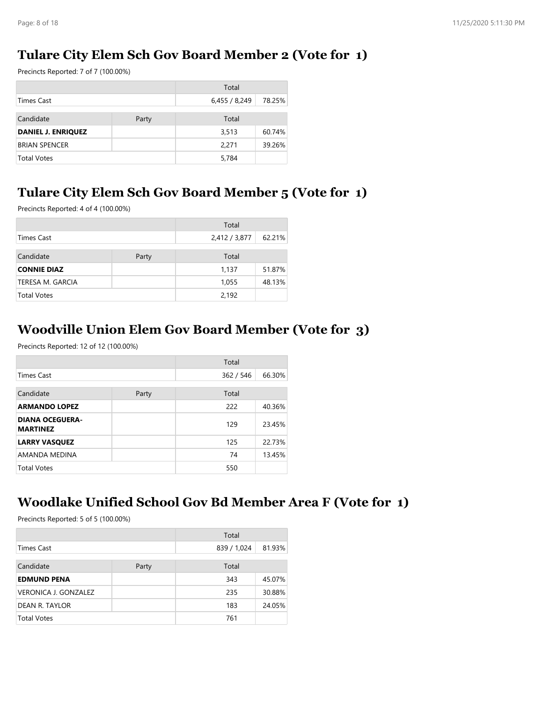### **Tulare City Elem Sch Gov Board Member 2 (Vote for 1)**

Precincts Reported: 7 of 7 (100.00%)

|                           |       | Total       |        |
|---------------------------|-------|-------------|--------|
| <b>Times Cast</b>         |       | 6,455/8,249 | 78.25% |
| Candidate                 | Party | Total       |        |
| <b>DANIEL J. ENRIQUEZ</b> |       | 3,513       | 60.74% |
| <b>BRIAN SPENCER</b>      |       | 2.271       | 39.26% |
| <b>Total Votes</b>        |       | 5,784       |        |

# **Tulare City Elem Sch Gov Board Member 5 (Vote for 1)**

Precincts Reported: 4 of 4 (100.00%)

|                    |  | Total         |        |
|--------------------|--|---------------|--------|
| <b>Times Cast</b>  |  | 2,412 / 3,877 | 62.21% |
| Candidate<br>Party |  | Total         |        |
| <b>CONNIE DIAZ</b> |  | 1,137         | 51.87% |
| TERESA M. GARCIA   |  | 1,055         | 48.13% |
| <b>Total Votes</b> |  | 2,192         |        |

### **Woodville Union Elem Gov Board Member (Vote for 3)**

Precincts Reported: 12 of 12 (100.00%)

|                                           |       | Total     |        |
|-------------------------------------------|-------|-----------|--------|
| <b>Times Cast</b>                         |       | 362 / 546 | 66.30% |
| Candidate                                 | Party | Total     |        |
| <b>ARMANDO LOPEZ</b>                      |       | 222       | 40.36% |
| <b>DIANA OCEGUERA-</b><br><b>MARTINEZ</b> |       | 129       | 23.45% |
| <b>LARRY VASQUEZ</b>                      |       | 125       | 22.73% |
| AMANDA MEDINA                             |       | 74        | 13.45% |
| <b>Total Votes</b>                        |       | 550       |        |

#### **Woodlake Unified School Gov Bd Member Area F (Vote for 1)**

Precincts Reported: 5 of 5 (100.00%)

|                             |       | Total       |        |
|-----------------------------|-------|-------------|--------|
| Times Cast                  |       | 839 / 1,024 | 81.93% |
| Candidate                   | Party | Total       |        |
| <b>EDMUND PENA</b>          |       | 343         | 45.07% |
| <b>VERONICA J. GONZALEZ</b> |       | 235         | 30.88% |
| DEAN R. TAYLOR              |       | 183         | 24.05% |
| <b>Total Votes</b>          |       | 761         |        |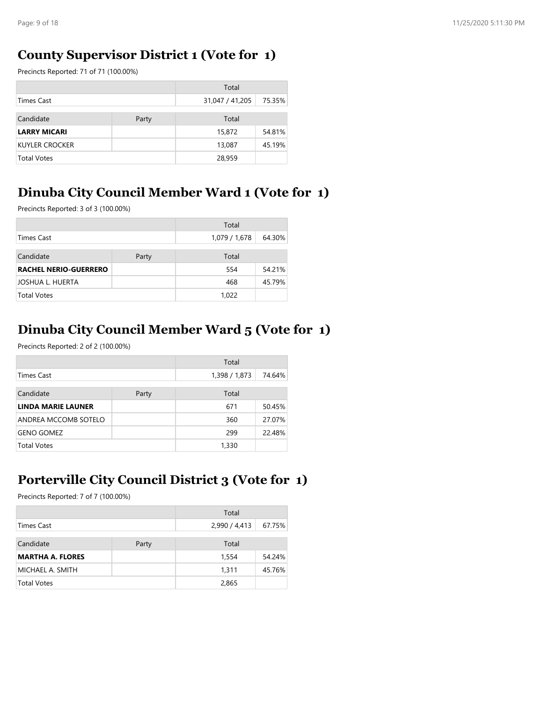### **County Supervisor District 1 (Vote for 1)**

Precincts Reported: 71 of 71 (100.00%)

|                       |       | Total           |        |
|-----------------------|-------|-----------------|--------|
| Times Cast            |       | 31,047 / 41,205 | 75.35% |
| Candidate             | Party | Total           |        |
| <b>LARRY MICARI</b>   |       | 15,872          | 54.81% |
| <b>KUYLER CROCKER</b> |       | 13,087          | 45.19% |
| <b>Total Votes</b>    |       | 28,959          |        |

## **Dinuba City Council Member Ward 1 (Vote for 1)**

Precincts Reported: 3 of 3 (100.00%)

|                              |       | Total         |        |
|------------------------------|-------|---------------|--------|
| Times Cast                   |       | 1,079 / 1,678 | 64.30% |
| Candidate                    | Party | Total         |        |
| <b>RACHEL NERIO-GUERRERO</b> |       | 554           | 54.21% |
| JOSHUA L. HUERTA             |       | 468           | 45.79% |
| <b>Total Votes</b>           |       | 1,022         |        |

# **Dinuba City Council Member Ward 5 (Vote for 1)**

Precincts Reported: 2 of 2 (100.00%)

|                           |       | Total         |        |
|---------------------------|-------|---------------|--------|
| Times Cast                |       | 1,398 / 1,873 | 74.64% |
|                           |       |               |        |
| Candidate                 | Party | Total         |        |
| <b>LINDA MARIE LAUNER</b> |       | 671           | 50.45% |
| ANDREA MCCOMB SOTELO      |       | 360           | 27.07% |
| <b>GENO GOMEZ</b>         |       | 299           | 22.48% |
| <b>Total Votes</b>        |       | 1,330         |        |

# **Porterville City Council District 3 (Vote for 1)**

Precincts Reported: 7 of 7 (100.00%)

|                         |       | Total         |        |
|-------------------------|-------|---------------|--------|
| <b>Times Cast</b>       |       | 2,990 / 4,413 | 67.75% |
| Candidate               | Party | Total         |        |
| <b>MARTHA A. FLORES</b> |       | 1,554         | 54.24% |
| MICHAEL A. SMITH        |       | 1.311         | 45.76% |
| <b>Total Votes</b>      |       | 2,865         |        |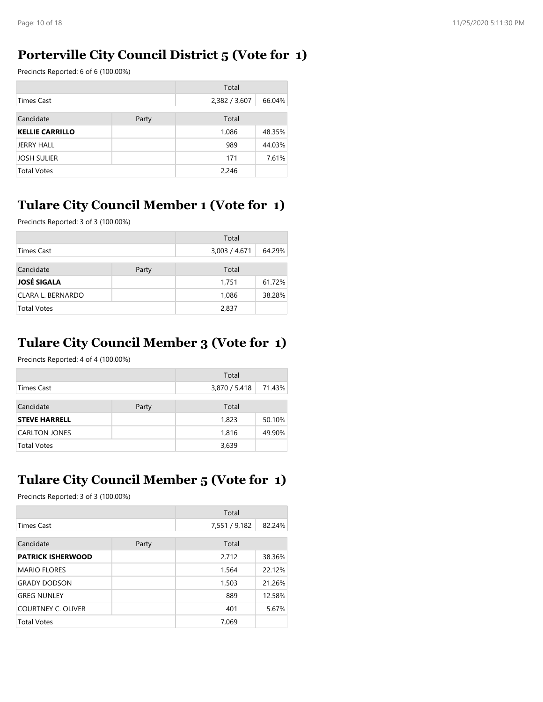### **Porterville City Council District 5 (Vote for 1)**

Precincts Reported: 6 of 6 (100.00%)

|                        |  | Total         |        |
|------------------------|--|---------------|--------|
| Times Cast             |  | 2,382 / 3,607 | 66.04% |
| Candidate<br>Party     |  | Total         |        |
| <b>KELLIE CARRILLO</b> |  | 1,086         | 48.35% |
| JERRY HALL             |  | 989           | 44.03% |
| <b>JOSH SULIER</b>     |  | 171           | 7.61%  |
| <b>Total Votes</b>     |  | 2,246         |        |

### **Tulare City Council Member 1 (Vote for 1)**

Precincts Reported: 3 of 3 (100.00%)

|                    |       | Total         |        |
|--------------------|-------|---------------|--------|
| <b>Times Cast</b>  |       | 3,003 / 4,671 | 64.29% |
| Candidate          | Party | Total         |        |
| <b>JOSÉ SIGALA</b> |       | 1,751         | 61.72% |
| CLARA L. BERNARDO  |       | 1,086         | 38.28% |
| <b>Total Votes</b> |       | 2,837         |        |

### **Tulare City Council Member 3 (Vote for 1)**

Precincts Reported: 4 of 4 (100.00%)

|                      |  | Total         |        |
|----------------------|--|---------------|--------|
| Times Cast           |  | 3,870 / 5,418 | 71.43% |
| Candidate<br>Party   |  | Total         |        |
| <b>STEVE HARRELL</b> |  | 1,823         | 50.10% |
| <b>CARLTON JONES</b> |  | 1,816         | 49.90% |
| <b>Total Votes</b>   |  | 3,639         |        |

# **Tulare City Council Member 5 (Vote for 1)**

Precincts Reported: 3 of 3 (100.00%)

|                           |       | Total         |        |
|---------------------------|-------|---------------|--------|
| <b>Times Cast</b>         |       | 7,551 / 9,182 | 82.24% |
| Candidate                 | Party | Total         |        |
| <b>PATRICK ISHERWOOD</b>  |       | 2,712         | 38.36% |
| <b>MARIO FLORES</b>       |       | 1,564         | 22.12% |
| <b>GRADY DODSON</b>       |       | 1,503         | 21.26% |
| <b>GREG NUNLEY</b>        |       | 889           | 12.58% |
| <b>COURTNEY C. OLIVER</b> |       | 401           | 5.67%  |
| <b>Total Votes</b>        |       | 7.069         |        |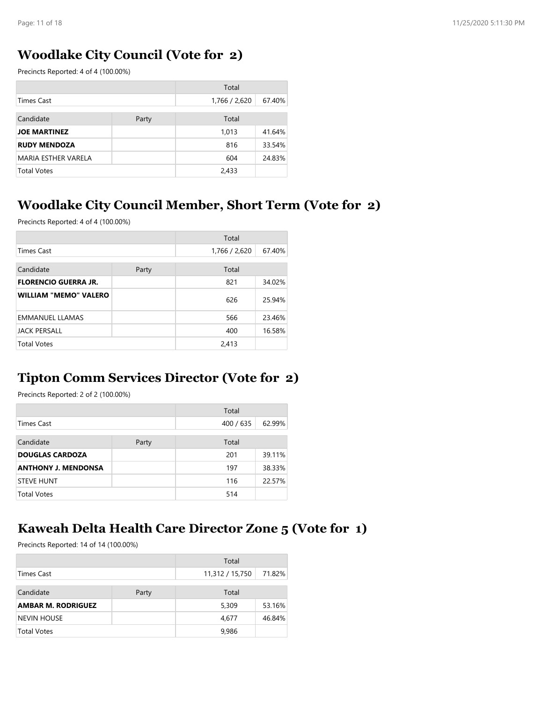### **Woodlake City Council (Vote for 2)**

Precincts Reported: 4 of 4 (100.00%)

|                            |  | Total         |        |
|----------------------------|--|---------------|--------|
| <b>Times Cast</b>          |  | 1,766 / 2,620 | 67.40% |
| Candidate<br>Party         |  | Total         |        |
| <b>JOE MARTINEZ</b>        |  | 1.013         | 41.64% |
| <b>RUDY MENDOZA</b>        |  | 816           | 33.54% |
| <b>MARIA ESTHER VARELA</b> |  | 604           | 24.83% |
| <b>Total Votes</b>         |  | 2,433         |        |

#### **Woodlake City Council Member, Short Term (Vote for 2)**

Precincts Reported: 4 of 4 (100.00%)

|                              |       | Total         |        |
|------------------------------|-------|---------------|--------|
| <b>Times Cast</b>            |       | 1,766 / 2,620 | 67.40% |
| Candidate                    | Party | Total         |        |
| <b>FLORENCIO GUERRA JR.</b>  |       | 821           | 34.02% |
| <b>WILLIAM "MEMO" VALERO</b> |       | 626           | 25.94% |
| <b>EMMANUEL LLAMAS</b>       |       | 566           | 23.46% |
| <b>JACK PERSALL</b>          |       | 400           | 16.58% |
| <b>Total Votes</b>           |       | 2,413         |        |

#### **Tipton Comm Services Director (Vote for 2)**

Precincts Reported: 2 of 2 (100.00%)

|                            |  | Total     |        |
|----------------------------|--|-----------|--------|
| Times Cast                 |  | 400 / 635 | 62.99% |
| Candidate<br>Party         |  | Total     |        |
| <b>DOUGLAS CARDOZA</b>     |  | 201       | 39.11% |
| <b>ANTHONY J. MENDONSA</b> |  | 197       | 38.33% |
| <b>STEVE HUNT</b>          |  | 116       | 22.57% |
| Total Votes                |  | 514       |        |

### **Kaweah Delta Health Care Director Zone 5 (Vote for 1)**

Precincts Reported: 14 of 14 (100.00%)

|                           |       | Total           |        |
|---------------------------|-------|-----------------|--------|
| Times Cast                |       | 11,312 / 15,750 | 71.82% |
| Candidate                 | Party | Total           |        |
| <b>AMBAR M. RODRIGUEZ</b> |       | 5,309           | 53.16% |
| <b>NEVIN HOUSE</b>        |       | 4,677           | 46.84% |
| <b>Total Votes</b>        |       | 9,986           |        |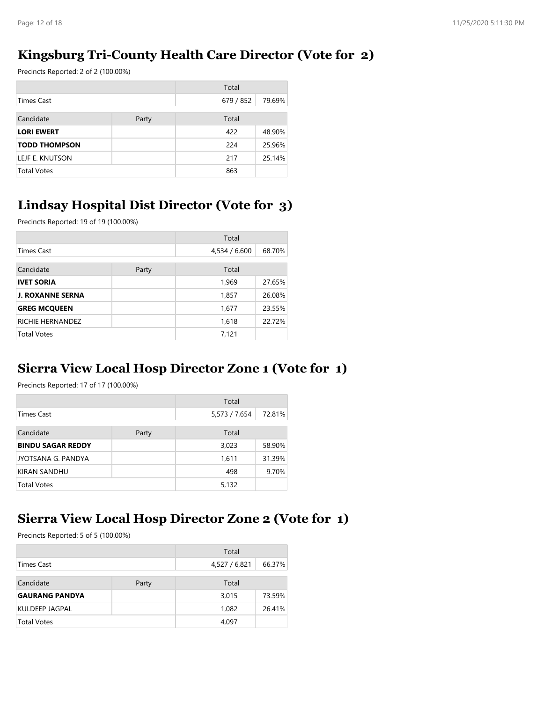### **Kingsburg Tri-County Health Care Director (Vote for 2)**

Precincts Reported: 2 of 2 (100.00%)

|                      |  | Total     |        |
|----------------------|--|-----------|--------|
| Times Cast           |  | 679 / 852 | 79.69% |
| Candidate<br>Party   |  | Total     |        |
| <b>LORI EWERT</b>    |  | 422       | 48.90% |
| <b>TODD THOMPSON</b> |  | 224       | 25.96% |
| LEJF E. KNUTSON      |  | 217       | 25.14% |
| <b>Total Votes</b>   |  | 863       |        |

### **Lindsay Hospital Dist Director (Vote for 3)**

Precincts Reported: 19 of 19 (100.00%)

|                         |       | Total         |        |
|-------------------------|-------|---------------|--------|
| <b>Times Cast</b>       |       | 4,534 / 6,600 | 68.70% |
| Candidate               | Party | Total         |        |
| <b>IVET SORIA</b>       |       | 1,969         | 27.65% |
| <b>J. ROXANNE SERNA</b> |       | 1,857         | 26.08% |
| <b>GREG MCQUEEN</b>     |       | 1,677         | 23.55% |
| RICHIE HERNANDEZ        |       | 1,618         | 22.72% |
| <b>Total Votes</b>      |       | 7,121         |        |

#### **Sierra View Local Hosp Director Zone 1 (Vote for 1)**

Precincts Reported: 17 of 17 (100.00%)

|                          |  | Total         |        |
|--------------------------|--|---------------|--------|
| Times Cast               |  | 5,573 / 7,654 | 72.81% |
| Candidate<br>Party       |  | Total         |        |
| <b>BINDU SAGAR REDDY</b> |  | 3,023         | 58.90% |
| JYOTSANA G. PANDYA       |  | 1,611         | 31.39% |
| KIRAN SANDHU             |  | 498           | 9.70%  |
| <b>Total Votes</b>       |  | 5,132         |        |

#### **Sierra View Local Hosp Director Zone 2 (Vote for 1)**

Precincts Reported: 5 of 5 (100.00%)

|                       |       | Total         |        |
|-----------------------|-------|---------------|--------|
| Times Cast            |       | 4,527 / 6,821 | 66.37% |
| Candidate             | Party | Total         |        |
| <b>GAURANG PANDYA</b> |       | 3,015         | 73.59% |
| KULDEEP JAGPAL        |       | 1,082         | 26.41% |
| <b>Total Votes</b>    |       | 4,097         |        |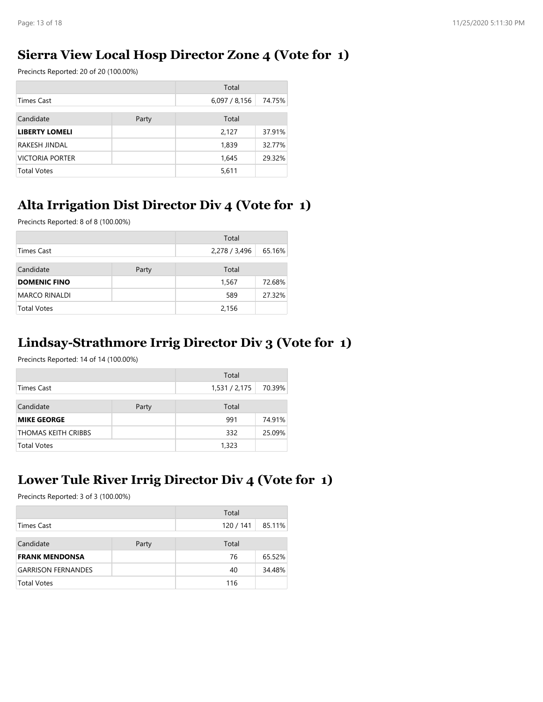### **Sierra View Local Hosp Director Zone 4 (Vote for 1)**

Precincts Reported: 20 of 20 (100.00%)

|                        |       | Total       |        |
|------------------------|-------|-------------|--------|
| Times Cast             |       | 6,097/8,156 | 74.75% |
| Candidate              | Party | Total       |        |
| <b>LIBERTY LOMELI</b>  |       | 2,127       | 37.91% |
| RAKESH JINDAL          |       | 1,839       | 32.77% |
| <b>VICTORIA PORTER</b> |       | 1,645       | 29.32% |
| <b>Total Votes</b>     |       | 5,611       |        |

### **Alta Irrigation Dist Director Div 4 (Vote for 1)**

Precincts Reported: 8 of 8 (100.00%)

|                      |       | Total         |        |
|----------------------|-------|---------------|--------|
| <b>Times Cast</b>    |       | 2,278 / 3,496 | 65.16% |
| Candidate            | Party | Total         |        |
| <b>DOMENIC FINO</b>  |       | 1,567         | 72.68% |
| <b>MARCO RINALDI</b> |       | 589           | 27.32% |
| <b>Total Votes</b>   |       | 2,156         |        |

### **Lindsay-Strathmore Irrig Director Div 3 (Vote for 1)**

Precincts Reported: 14 of 14 (100.00%)

|                            |       | Total         |        |
|----------------------------|-------|---------------|--------|
| <b>Times Cast</b>          |       | 1,531 / 2,175 | 70.39% |
| Candidate                  | Party | Total         |        |
| <b>MIKE GEORGE</b>         |       | 991           | 74.91% |
| <b>THOMAS KEITH CRIBBS</b> |       | 332           | 25.09% |
| <b>Total Votes</b>         |       | 1,323         |        |

# **Lower Tule River Irrig Director Div 4 (Vote for 1)**

Precincts Reported: 3 of 3 (100.00%)

|                           |       | Total     |        |
|---------------------------|-------|-----------|--------|
| Times Cast                |       | 120 / 141 | 85.11% |
| Candidate                 | Party | Total     |        |
| <b>FRANK MENDONSA</b>     |       | 76        | 65.52% |
| <b>GARRISON FERNANDES</b> |       | 40        | 34.48% |
| <b>Total Votes</b>        |       | 116       |        |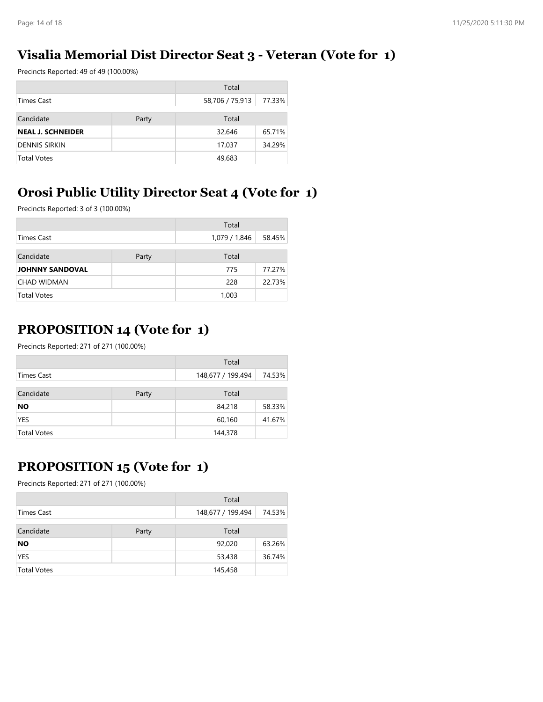### **Visalia Memorial Dist Director Seat 3 - Veteran (Vote for 1)**

Precincts Reported: 49 of 49 (100.00%)

| Total                    |       |                 |        |
|--------------------------|-------|-----------------|--------|
| Times Cast               |       | 58,706 / 75,913 | 77.33% |
| Candidate                | Party | Total           |        |
| <b>NEAL J. SCHNEIDER</b> |       | 32,646          | 65.71% |
| <b>DENNIS SIRKIN</b>     |       | 17,037          | 34.29% |
| <b>Total Votes</b>       |       | 49,683          |        |

# **Orosi Public Utility Director Seat 4 (Vote for 1)**

Precincts Reported: 3 of 3 (100.00%)

|                        |       | Total         |        |
|------------------------|-------|---------------|--------|
| Times Cast             |       | 1,079 / 1,846 | 58.45% |
| Candidate              | Party | Total         |        |
| <b>JOHNNY SANDOVAL</b> |       | 775           | 77.27% |
| <b>CHAD WIDMAN</b>     |       | 228           | 22.73% |
| <b>Total Votes</b>     |       | 1,003         |        |

# **PROPOSITION 14 (Vote for 1)**

Precincts Reported: 271 of 271 (100.00%)

|                    |  | Total             |        |
|--------------------|--|-------------------|--------|
| Times Cast         |  | 148,677 / 199,494 | 74.53% |
| Candidate<br>Party |  | Total             |        |
| NO                 |  | 84,218            | 58.33% |
| <b>YES</b>         |  | 60,160            | 41.67% |
| Total Votes        |  | 144,378           |        |

# **PROPOSITION 15 (Vote for 1)**

Precincts Reported: 271 of 271 (100.00%)

|                             |  | Total             |        |
|-----------------------------|--|-------------------|--------|
| Times Cast                  |  | 148,677 / 199,494 | 74.53% |
| Candidate<br>Total<br>Party |  |                   |        |
| <b>NO</b>                   |  | 92,020            | 63.26% |
| <b>YES</b>                  |  | 53,438            | 36.74% |
| <b>Total Votes</b>          |  | 145,458           |        |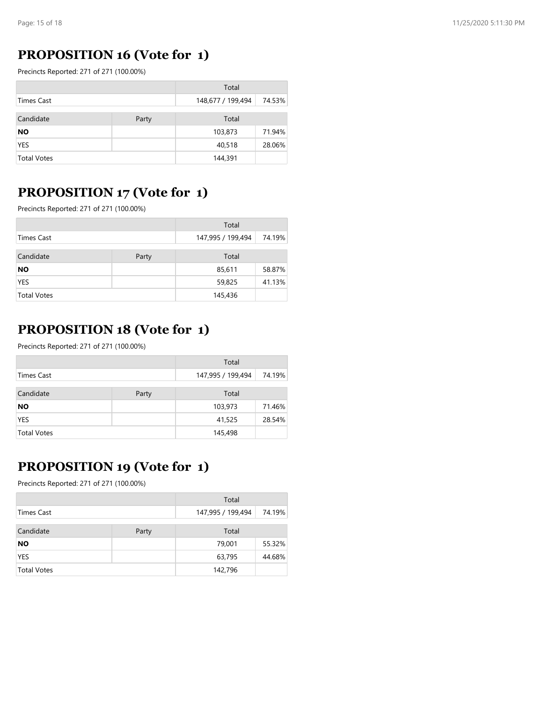### **PROPOSITION 16 (Vote for 1)**

Precincts Reported: 271 of 271 (100.00%)

|                    |       | Total             |        |
|--------------------|-------|-------------------|--------|
| Times Cast         |       | 148,677 / 199,494 | 74.53% |
| Candidate          | Party | Total             |        |
| <b>NO</b>          |       | 103,873           | 71.94% |
| <b>YES</b>         |       | 40,518            | 28.06% |
| <b>Total Votes</b> |       | 144,391           |        |

#### **PROPOSITION 17 (Vote for 1)**

Precincts Reported: 271 of 271 (100.00%)

|                    |       | Total             |        |
|--------------------|-------|-------------------|--------|
| Times Cast         |       | 147,995 / 199,494 | 74.19% |
| Candidate          | Party | Total             |        |
| <b>NO</b>          |       | 85,611            | 58.87% |
| <b>YES</b>         |       | 59,825            | 41.13% |
| <b>Total Votes</b> |       | 145,436           |        |

### **PROPOSITION 18 (Vote for 1)**

Precincts Reported: 271 of 271 (100.00%)

|                             |  | Total             |        |
|-----------------------------|--|-------------------|--------|
| Times Cast                  |  | 147,995 / 199,494 | 74.19% |
| Candidate<br>Total<br>Party |  |                   |        |
| NO                          |  | 103,973           | 71.46% |
| <b>YES</b>                  |  | 41,525            | 28.54% |
| <b>Total Votes</b>          |  | 145,498           |        |

# **PROPOSITION 19 (Vote for 1)**

Precincts Reported: 271 of 271 (100.00%)

|                    |  | Total             |        |
|--------------------|--|-------------------|--------|
| Times Cast         |  | 147,995 / 199,494 | 74.19% |
| Candidate<br>Party |  | Total             |        |
| <b>NO</b>          |  | 79,001            | 55.32% |
| <b>YES</b>         |  | 63,795            | 44.68% |
| <b>Total Votes</b> |  | 142,796           |        |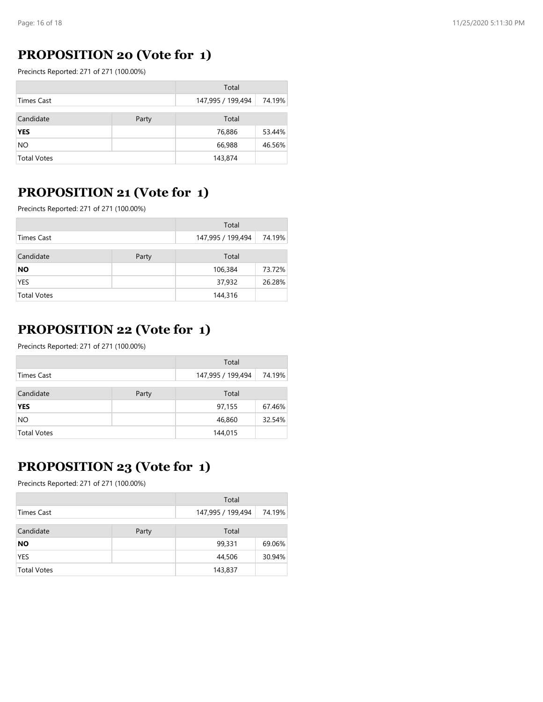### **PROPOSITION 20 (Vote for 1)**

Precincts Reported: 271 of 271 (100.00%)

|                             |  | Total             |        |
|-----------------------------|--|-------------------|--------|
| Times Cast                  |  | 147,995 / 199,494 | 74.19% |
| Candidate<br>Total<br>Party |  |                   |        |
| <b>YES</b>                  |  | 76,886            | 53.44% |
| NO                          |  | 66,988            | 46.56% |
| <b>Total Votes</b>          |  | 143,874           |        |

### **PROPOSITION 21 (Vote for 1)**

Precincts Reported: 271 of 271 (100.00%)

|                    |       | Total             |        |
|--------------------|-------|-------------------|--------|
| Times Cast         |       | 147,995 / 199,494 | 74.19% |
| Candidate          | Party | Total             |        |
| <b>NO</b>          |       | 106,384           | 73.72% |
| <b>YES</b>         |       | 37,932            | 26.28% |
| <b>Total Votes</b> |       | 144,316           |        |

### **PROPOSITION 22 (Vote for 1)**

Precincts Reported: 271 of 271 (100.00%)

|                    |  | Total             |        |
|--------------------|--|-------------------|--------|
| Times Cast         |  | 147,995 / 199,494 | 74.19% |
| Candidate<br>Party |  | Total             |        |
| <b>YES</b>         |  | 97,155            | 67.46% |
| NO.                |  | 46,860            | 32.54% |
| <b>Total Votes</b> |  | 144,015           |        |

# **PROPOSITION 23 (Vote for 1)**

Precincts Reported: 271 of 271 (100.00%)

|                    |  | Total             |        |
|--------------------|--|-------------------|--------|
| Times Cast         |  | 147,995 / 199,494 | 74.19% |
| Candidate<br>Party |  | Total             |        |
| NO                 |  | 99,331            | 69.06% |
| <b>YES</b>         |  | 44,506            | 30.94% |
| <b>Total Votes</b> |  | 143,837           |        |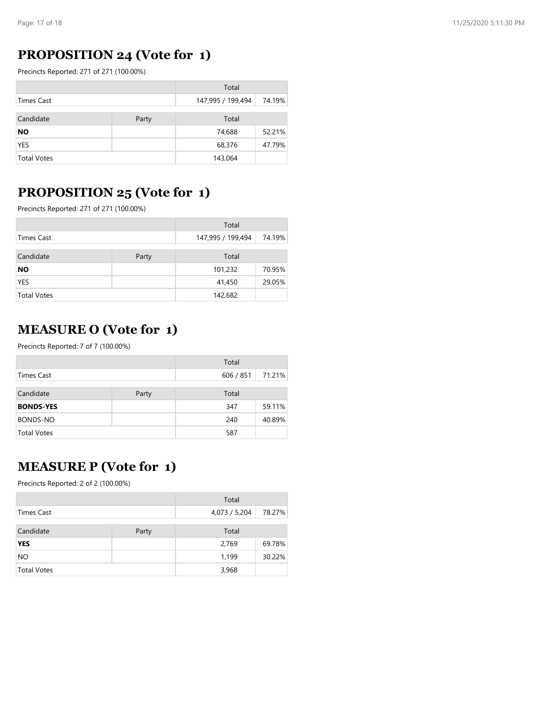### **PROPOSITION 24 (Vote for 1)**

Precincts Reported: 271 of 271 (100.00%)

|                    |       | Total             |        |
|--------------------|-------|-------------------|--------|
| Times Cast         |       | 147,995 / 199,494 | 74.19% |
| Candidate          | Party | Total             |        |
| <b>NO</b>          |       | 74,688            | 52.21% |
| <b>YES</b>         |       | 68,376            | 47.79% |
| <b>Total Votes</b> |       | 143,064           |        |

### **PROPOSITION 25 (Vote for 1)**

Precincts Reported: 271 of 271 (100.00%)

|                    |  | Total             |        |
|--------------------|--|-------------------|--------|
| Times Cast         |  | 147,995 / 199,494 | 74.19% |
| Candidate<br>Party |  | Total             |        |
| <b>NO</b>          |  | 101,232           | 70.95% |
| <b>YES</b>         |  | 41,450            | 29.05% |
| <b>Total Votes</b> |  | 142,682           |        |

#### **MEASURE O (Vote for 1)**

Precincts Reported: 7 of 7 (100.00%)

|                    |       | Total     |        |
|--------------------|-------|-----------|--------|
| Times Cast         |       | 606 / 851 | 71.21% |
| Candidate          | Party | Total     |        |
| <b>BONDS-YES</b>   |       | 347       | 59.11% |
| <b>BONDS-NO</b>    |       | 240       | 40.89% |
| <b>Total Votes</b> |       | 587       |        |

### **MEASURE P (Vote for 1)**

Precincts Reported: 2 of 2 (100.00%)

|                    |       | Total         |        |
|--------------------|-------|---------------|--------|
| Times Cast         |       | 4,073 / 5,204 | 78.27% |
| Candidate          | Party | Total         |        |
| <b>YES</b>         |       | 2,769         | 69.78% |
| NO.                |       | 1,199         | 30.22% |
| <b>Total Votes</b> |       | 3,968         |        |